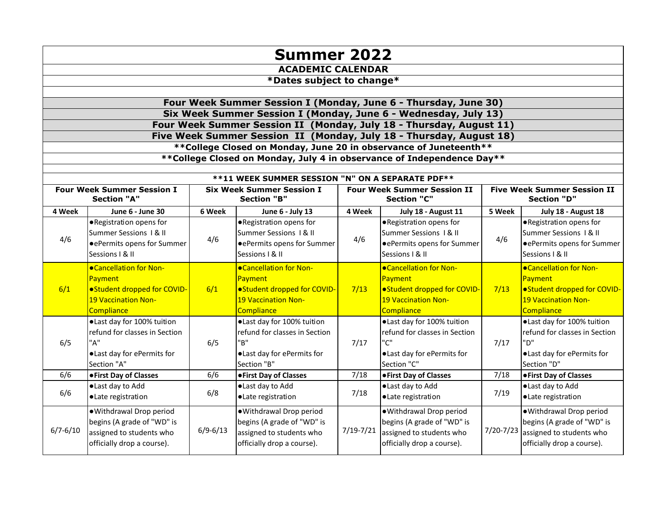| <b>Summer 2022</b>                                                    |                                                                                                                                           |              |                                                                                                                             |               |                                                                                                                  |                    |                                                                                                                  |  |  |
|-----------------------------------------------------------------------|-------------------------------------------------------------------------------------------------------------------------------------------|--------------|-----------------------------------------------------------------------------------------------------------------------------|---------------|------------------------------------------------------------------------------------------------------------------|--------------------|------------------------------------------------------------------------------------------------------------------|--|--|
| <b>ACADEMIC CALENDAR</b>                                              |                                                                                                                                           |              |                                                                                                                             |               |                                                                                                                  |                    |                                                                                                                  |  |  |
| *Dates subject to change*                                             |                                                                                                                                           |              |                                                                                                                             |               |                                                                                                                  |                    |                                                                                                                  |  |  |
|                                                                       |                                                                                                                                           |              |                                                                                                                             |               |                                                                                                                  |                    |                                                                                                                  |  |  |
|                                                                       | Four Week Summer Session I (Monday, June 6 - Thursday, June 30)                                                                           |              |                                                                                                                             |               |                                                                                                                  |                    |                                                                                                                  |  |  |
|                                                                       | Six Week Summer Session I (Monday, June 6 - Wednesday, July 13)                                                                           |              |                                                                                                                             |               |                                                                                                                  |                    |                                                                                                                  |  |  |
|                                                                       | Four Week Summer Session II (Monday, July 18 - Thursday, August 11)                                                                       |              |                                                                                                                             |               |                                                                                                                  |                    |                                                                                                                  |  |  |
|                                                                       | Five Week Summer Session II (Monday, July 18 - Thursday, August 18)<br>** College Closed on Monday, June 20 in observance of Juneteenth** |              |                                                                                                                             |               |                                                                                                                  |                    |                                                                                                                  |  |  |
|                                                                       |                                                                                                                                           |              |                                                                                                                             |               |                                                                                                                  |                    |                                                                                                                  |  |  |
|                                                                       |                                                                                                                                           |              | ** College Closed on Monday, July 4 in observance of Independence Day**                                                     |               |                                                                                                                  |                    |                                                                                                                  |  |  |
|                                                                       |                                                                                                                                           |              | **11 WEEK SUMMER SESSION "N" ON A SEPARATE PDF**                                                                            |               |                                                                                                                  |                    |                                                                                                                  |  |  |
| <b>Four Week Summer Session I</b><br><b>Six Week Summer Session I</b> |                                                                                                                                           |              | <b>Four Week Summer Session II</b>                                                                                          |               | <b>Five Week Summer Session II</b>                                                                               |                    |                                                                                                                  |  |  |
|                                                                       | <b>Section "A"</b>                                                                                                                        |              | <b>Section "B"</b>                                                                                                          |               | <b>Section "C"</b>                                                                                               | <b>Section "D"</b> |                                                                                                                  |  |  |
| 4 Week                                                                | June 6 - June 30                                                                                                                          | 6 Week       | June 6 - July 13                                                                                                            | 4 Week        | July 18 - August 11                                                                                              | 5 Week             | July 18 - August 18                                                                                              |  |  |
| 4/6                                                                   | .Registration opens for<br>Summer Sessions   & II<br>● ePermits opens for Summer<br>Sessions   & II                                       | 4/6          | ● Registration opens for<br>Summer Sessions   & II<br>● ePermits opens for Summer<br>Sessions   & II                        | 4/6           | ● Registration opens for<br>Summer Sessions 1 & II<br>● ePermits opens for Summer<br>Sessions   & II             | 4/6                | ● Registration opens for<br>Summer Sessions   & II<br>● ePermits opens for Summer<br>Sessions   & II             |  |  |
| 6/1                                                                   | ● Cancellation for Non-<br>Payment<br>•Student dropped for COVID-<br><b>19 Vaccination Non-</b><br>Compliance                             | 6/1          | <b>.</b> Cancellation for Non-<br>Payment<br>·Student dropped for COVID-<br><b>19 Vaccination Non-</b><br><b>Compliance</b> | 7/13          | ● Cancellation for Non-<br>Payment<br>● Student dropped for COVID-<br><b>19 Vaccination Non-</b><br>Compliance   | 7/13               | <b>.</b> Cancellation for Non-<br>Payment<br>• Student dropped for COVID-<br>19 Vaccination Non-<br>Compliance   |  |  |
| 6/5                                                                   | ·Last day for 100% tuition<br>refund for classes in Section<br>"A"<br>.Last day for ePermits for<br>Section "A"                           | 6/5          | • Last day for 100% tuition<br>refund for classes in Section<br>"R"<br>.Last day for ePermits for<br>Section "B"            | 7/17          | ·Last day for 100% tuition<br>refund for classes in Section<br>"C"<br>· Last day for ePermits for<br>Section "C" | 7/17               | ● Last day for 100% tuition<br>refund for classes in Section<br>"מ"<br>.Last day for ePermits for<br>Section "D" |  |  |
| 6/6                                                                   | <b>• First Day of Classes</b>                                                                                                             | 6/6          | <b>• First Day of Classes</b>                                                                                               | 7/18          | <b>• First Day of Classes</b>                                                                                    | 7/18               | <b>• First Day of Classes</b>                                                                                    |  |  |
| 6/6                                                                   | ·Last day to Add<br>·Late registration                                                                                                    | 6/8          | ·Last day to Add<br>·Late registration                                                                                      | 7/18          | ·Last day to Add<br>·Late registration                                                                           | 7/19               | Last day to Add<br>·Late registration                                                                            |  |  |
| $6/7 - 6/10$                                                          | · Withdrawal Drop period<br>begins (A grade of "WD" is<br>assigned to students who<br>officially drop a course).                          | $6/9 - 6/13$ | · Withdrawal Drop period<br>begins (A grade of "WD" is<br>assigned to students who<br>officially drop a course).            | $7/19 - 7/21$ | · Withdrawal Drop period<br>begins (A grade of "WD" is<br>assigned to students who<br>officially drop a course). | $7/20 - 7/23$      | · Withdrawal Drop period<br>begins (A grade of "WD" is<br>assigned to students who<br>officially drop a course). |  |  |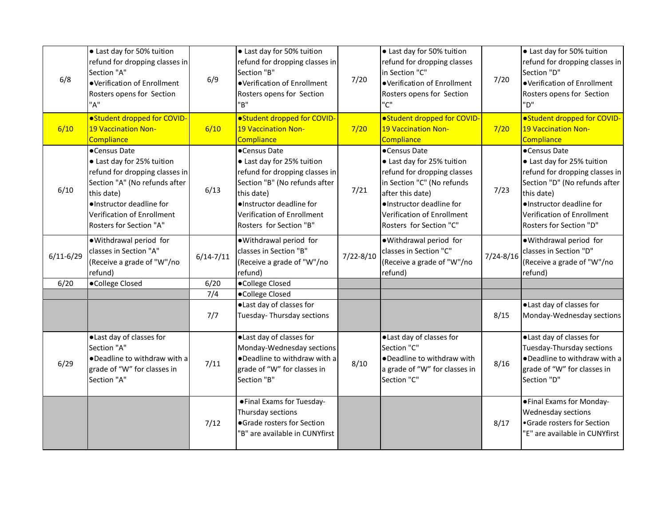| 6/8           | • Last day for 50% tuition<br>refund for dropping classes in<br>Section "A"<br>●Verification of Enrollment<br>Rosters opens for Section<br>"A"                                                                   | 6/9           | • Last day for 50% tuition<br>refund for dropping classes in<br>Section "B"<br>●Verification of Enrollment<br>Rosters opens for Section<br>"B"                                                                   | 7/20          | • Last day for 50% tuition<br>refund for dropping classes<br>in Section "C"<br>·Verification of Enrollment<br>Rosters opens for Section<br>"C"                                                                   | 7/20          | • Last day for 50% tuition<br>refund for dropping classes in<br>Section "D"<br>●Verification of Enrollment<br>Rosters opens for Section<br>"ח"                                                                   |
|---------------|------------------------------------------------------------------------------------------------------------------------------------------------------------------------------------------------------------------|---------------|------------------------------------------------------------------------------------------------------------------------------------------------------------------------------------------------------------------|---------------|------------------------------------------------------------------------------------------------------------------------------------------------------------------------------------------------------------------|---------------|------------------------------------------------------------------------------------------------------------------------------------------------------------------------------------------------------------------|
| 6/10          | ● Student dropped for COVID-<br><b>19 Vaccination Non-</b><br>Compliance                                                                                                                                         | 6/10          | • Student dropped for COVID-<br><b>19 Vaccination Non-</b><br>Compliance                                                                                                                                         | 7/20          | • Student dropped for COVID-<br>19 Vaccination Non-<br>Compliance                                                                                                                                                | 7/20          | • Student dropped for COVID-<br><b>19 Vaccination Non-</b><br>Compliance                                                                                                                                         |
| 6/10          | •Census Date<br>• Last day for 25% tuition<br>refund for dropping classes in<br>Section "A" (No refunds after<br>this date)<br>·Instructor deadline for<br>Verification of Enrollment<br>Rosters for Section "A" | 6/13          | ●Census Date<br>• Last day for 25% tuition<br>refund for dropping classes in<br>Section "B" (No refunds after<br>this date)<br>·Instructor deadline for<br>Verification of Enrollment<br>Rosters for Section "B" | 7/21          | •Census Date<br>• Last day for 25% tuition<br>refund for dropping classes<br>in Section "C" (No refunds<br>after this date)<br>·Instructor deadline for<br>Verification of Enrollment<br>Rosters for Section "C" | 7/23          | •Census Date<br>• Last day for 25% tuition<br>refund for dropping classes in<br>Section "D" (No refunds after<br>this date)<br>·Instructor deadline for<br>Verification of Enrollment<br>Rosters for Section "D" |
| $6/11 - 6/29$ | .Withdrawal period for<br>classes in Section "A"<br>(Receive a grade of "W"/no<br>refund)                                                                                                                        | $6/14 - 7/11$ | . Withdrawal period for<br>classes in Section "B"<br>(Receive a grade of "W"/no<br>refund)                                                                                                                       | $7/22 - 8/10$ | .Withdrawal period for<br>classes in Section "C"<br>(Receive a grade of "W"/no<br>refund)                                                                                                                        | $7/24 - 8/16$ | · Withdrawal period for<br>classes in Section "D"<br>(Receive a grade of "W"/no<br>refund)                                                                                                                       |
| 6/20          | ·College Closed                                                                                                                                                                                                  | 6/20          | ·College Closed                                                                                                                                                                                                  |               |                                                                                                                                                                                                                  |               |                                                                                                                                                                                                                  |
|               |                                                                                                                                                                                                                  | 7/4           | ·College Closed                                                                                                                                                                                                  |               |                                                                                                                                                                                                                  |               |                                                                                                                                                                                                                  |
|               |                                                                                                                                                                                                                  | 7/7           | · Last day of classes for<br>Tuesday-Thursday sections                                                                                                                                                           |               |                                                                                                                                                                                                                  | 8/15          | ·Last day of classes for<br>Monday-Wednesday sections                                                                                                                                                            |
| 6/29          | · Last day of classes for<br>Section "A"<br>. Deadline to withdraw with a<br>grade of "W" for classes in<br>Section "A"                                                                                          | 7/11          | ·Last day of classes for<br>Monday-Wednesday sections<br>. Deadline to withdraw with a<br>grade of "W" for classes in<br>Section "B"                                                                             | 8/10          | · Last day of classes for<br>Section "C"<br>•Deadline to withdraw with<br>a grade of "W" for classes in<br>Section "C"                                                                                           | 8/16          | ·Last day of classes for<br>Tuesday-Thursday sections<br>•Deadline to withdraw with a<br>grade of "W" for classes in<br>Section "D"                                                                              |
|               |                                                                                                                                                                                                                  | 7/12          | • Final Exams for Tuesday-<br>Thursday sections<br>·Grade rosters for Section<br>"B" are available in CUNYfirst                                                                                                  |               |                                                                                                                                                                                                                  | 8/17          | • Final Exams for Monday-<br>Wednesday sections<br>•Grade rosters for Section<br>'E" are available in CUNYfirst                                                                                                  |